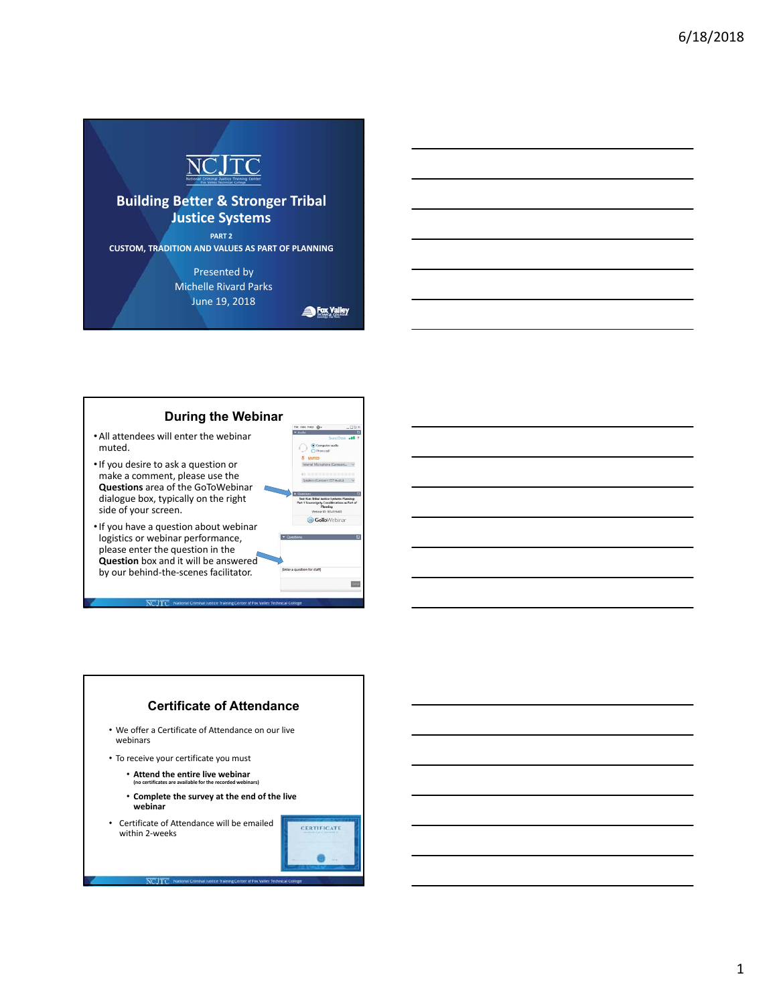

### **Building Better & Stronger Tribal Justice Systems**

**PART 2 CUSTOM, TRADITION AND VALUES AS PART OF PLANNING**

> Presented by Michelle Rivard Parks June 19, 2018

Fox Valley



**CITC** 

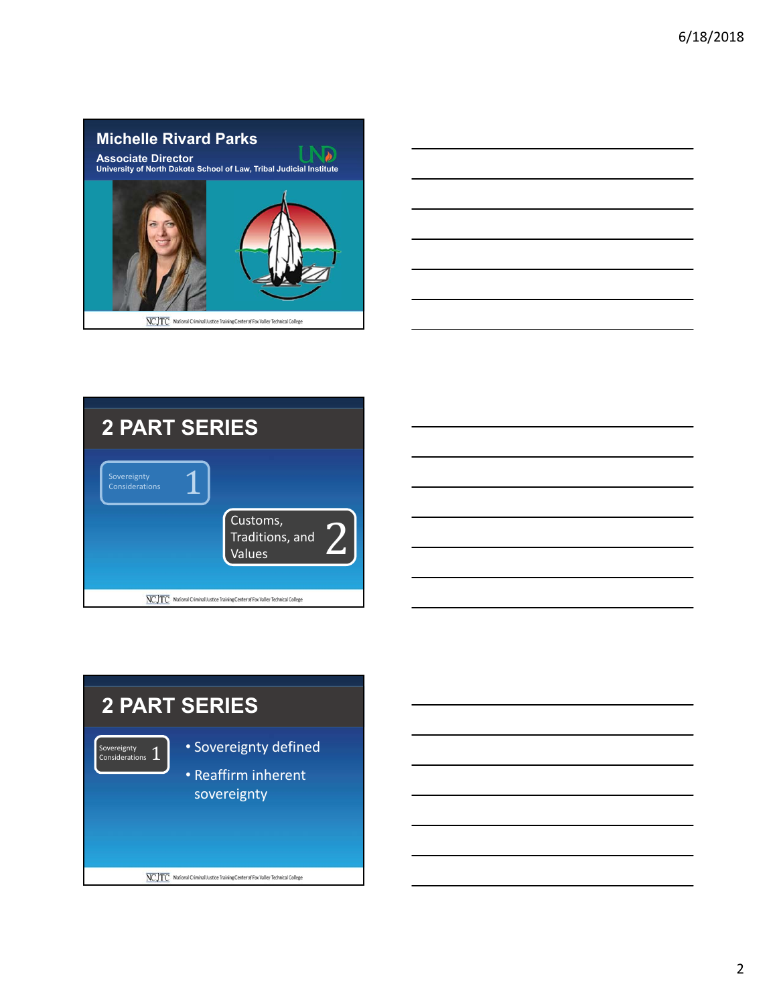

|                                              | the control of the control of the control of |  |  |
|----------------------------------------------|----------------------------------------------|--|--|
| <u> Alexandria de la conte</u>               |                                              |  |  |
|                                              |                                              |  |  |
|                                              |                                              |  |  |
|                                              |                                              |  |  |
| the control of the control of the control of | the contract of the contract of              |  |  |
|                                              |                                              |  |  |



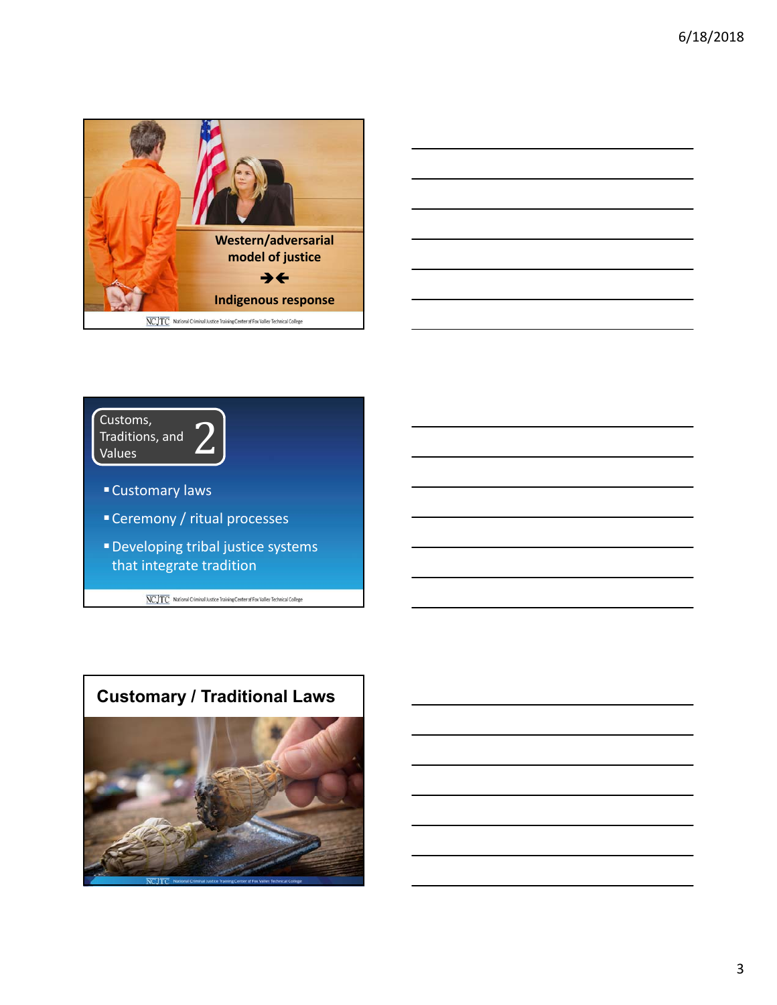





- Customary laws
- Ceremony / ritual processes
- Developing tribal justice systems that integrate tradition

 $\overline{\text{NCJTC}}$  National Criminal Justice Training Center of Fox Valley Technical College



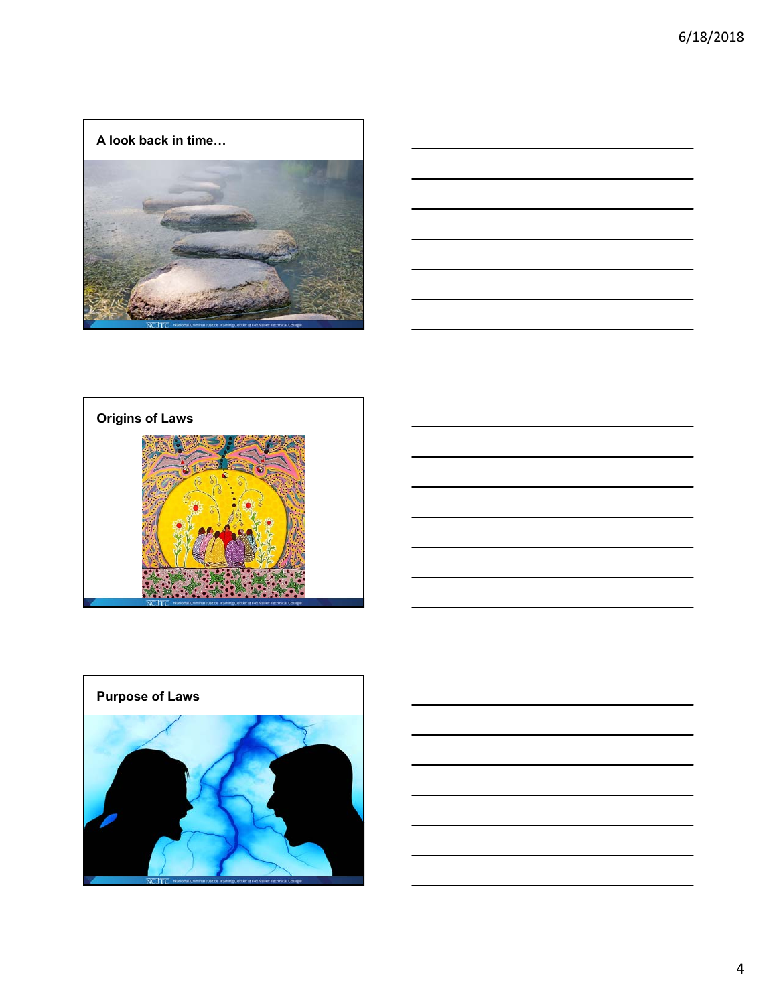



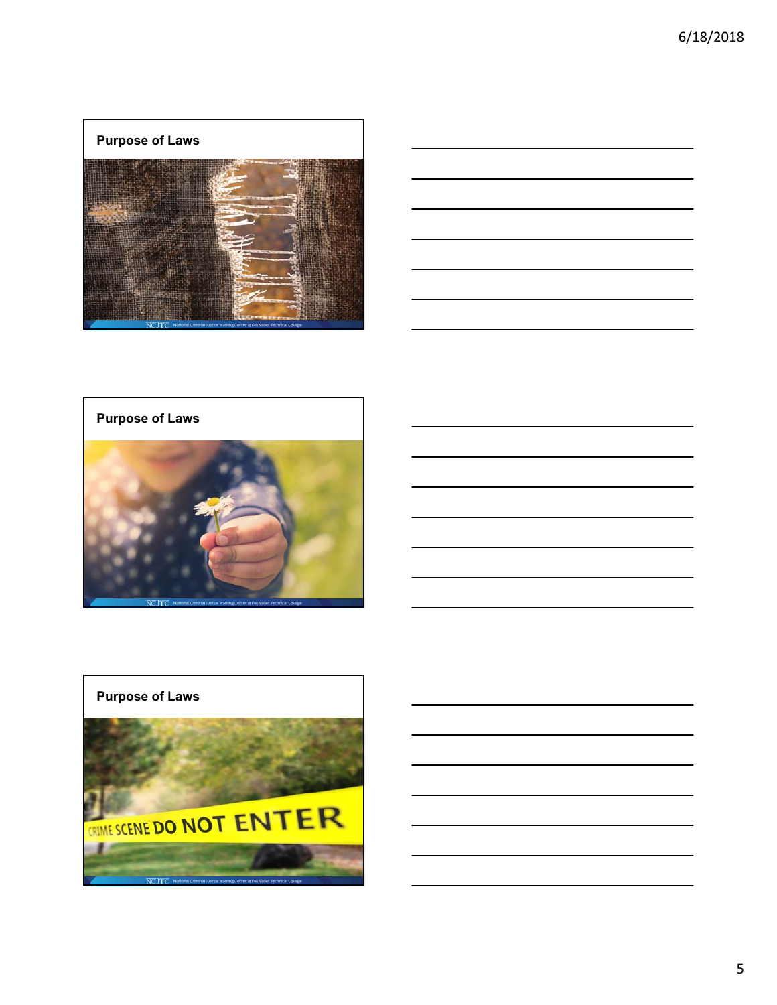### **Purpose of Laws**



|                                                                                                                       | <u> 1989 - Andrea Station Barbara, amerikan personal (h. 1989).</u> |                          |
|-----------------------------------------------------------------------------------------------------------------------|---------------------------------------------------------------------|--------------------------|
|                                                                                                                       |                                                                     |                          |
|                                                                                                                       |                                                                     |                          |
| <u> 1989 - Johann Stoff, deutscher Stoff, der Stoff, der Stoff, der Stoff, der Stoff, der Stoff, der Stoff, der S</u> |                                                                     | $\overline{\phantom{a}}$ |
| <u> 1989 - Jan Salaman, masjid al-Amerikaansk politik (d. 1989)</u>                                                   |                                                                     | $\overline{\phantom{a}}$ |
|                                                                                                                       | $\overline{\phantom{a}}$                                            |                          |

**Purpose of Laws**



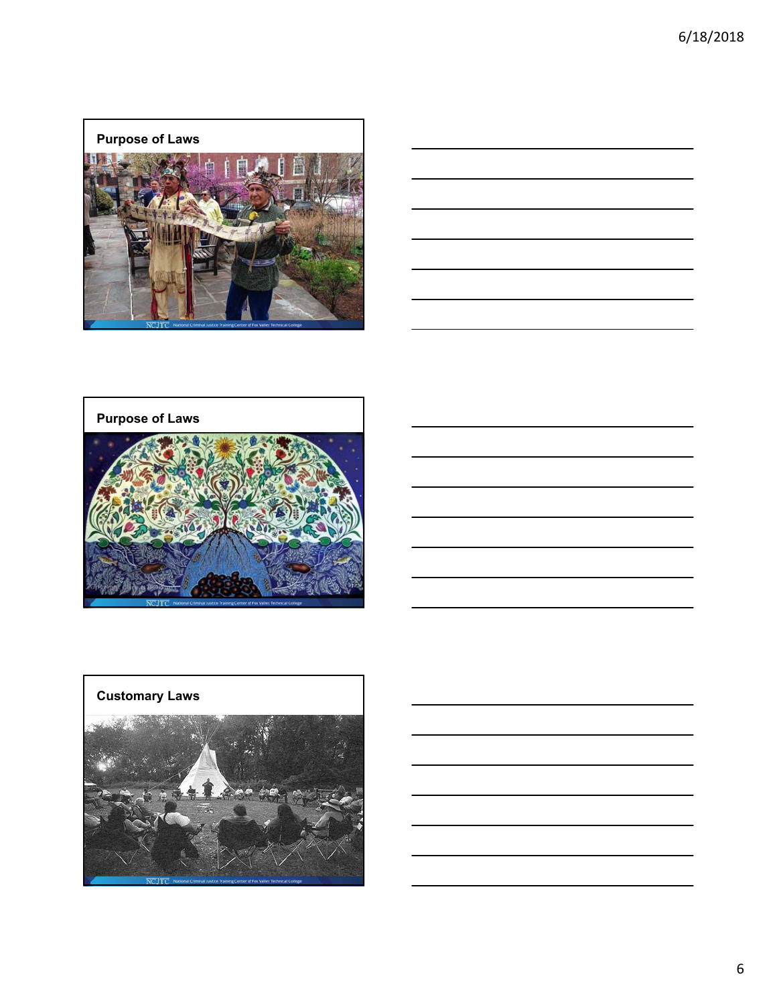### **Purpose of Laws**







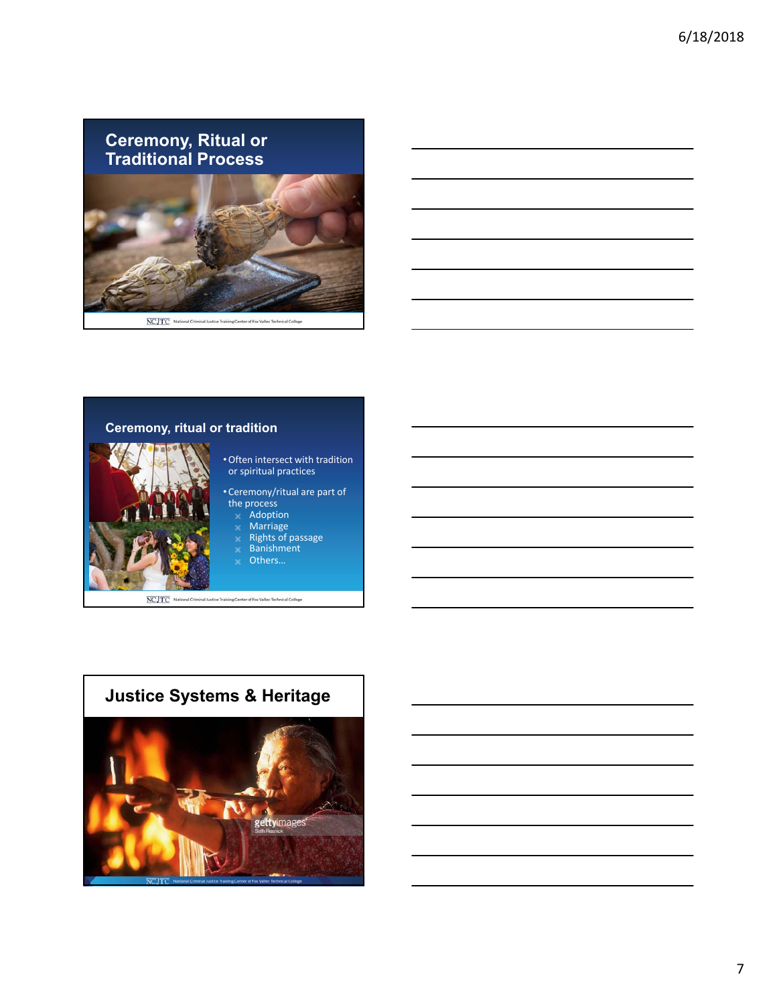**Ceremony, Ritual or Traditional Process**



NCJTC National Criminal Autice Training Center of Fox Valley Technical Colleg



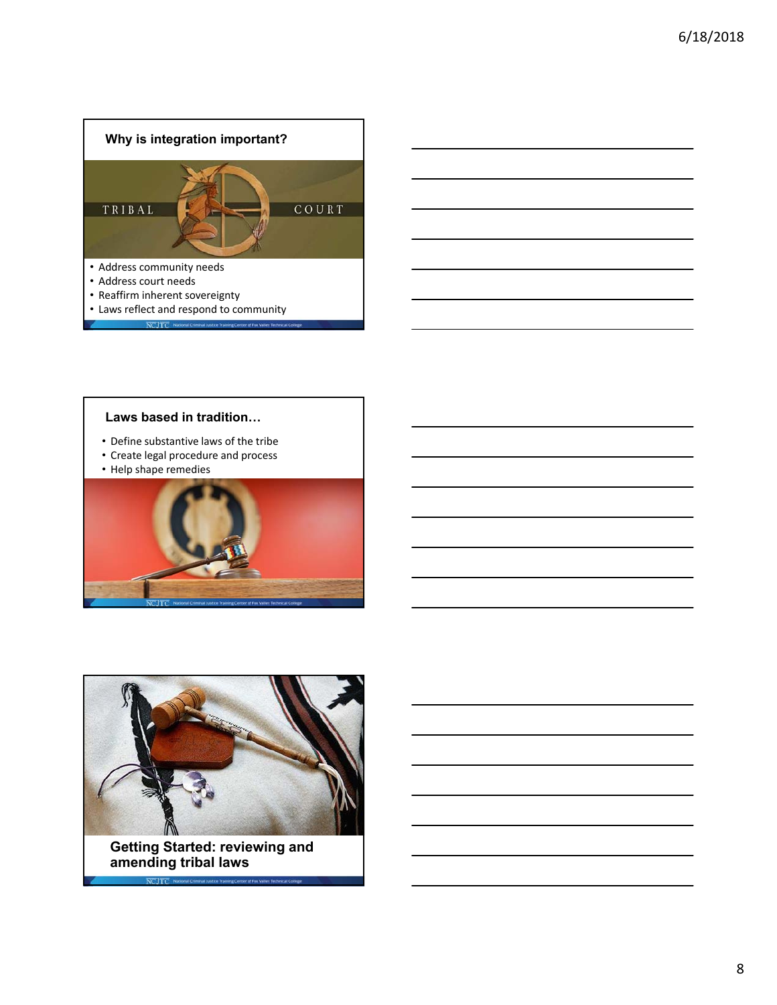

### **Laws based in tradition…**

- Define substantive laws of the tribe
- Create legal procedure and process
- Help shape remedies





**amending tribal laws**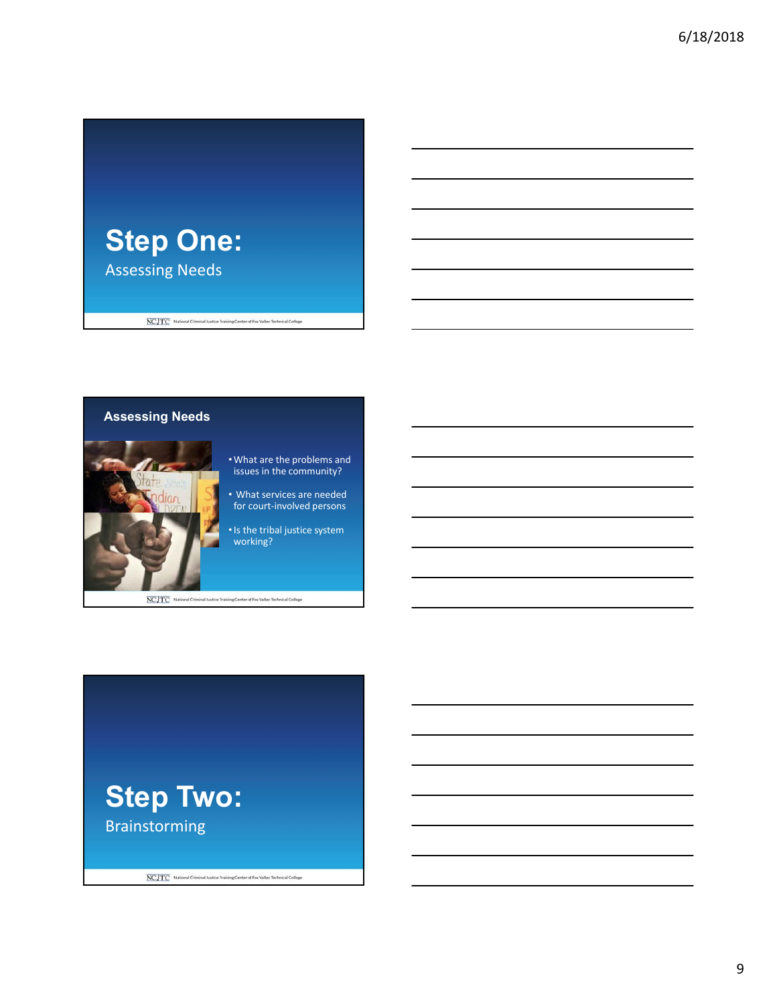



NCJTC National Criminal Justice Training Center of Fox Valley Technical College



9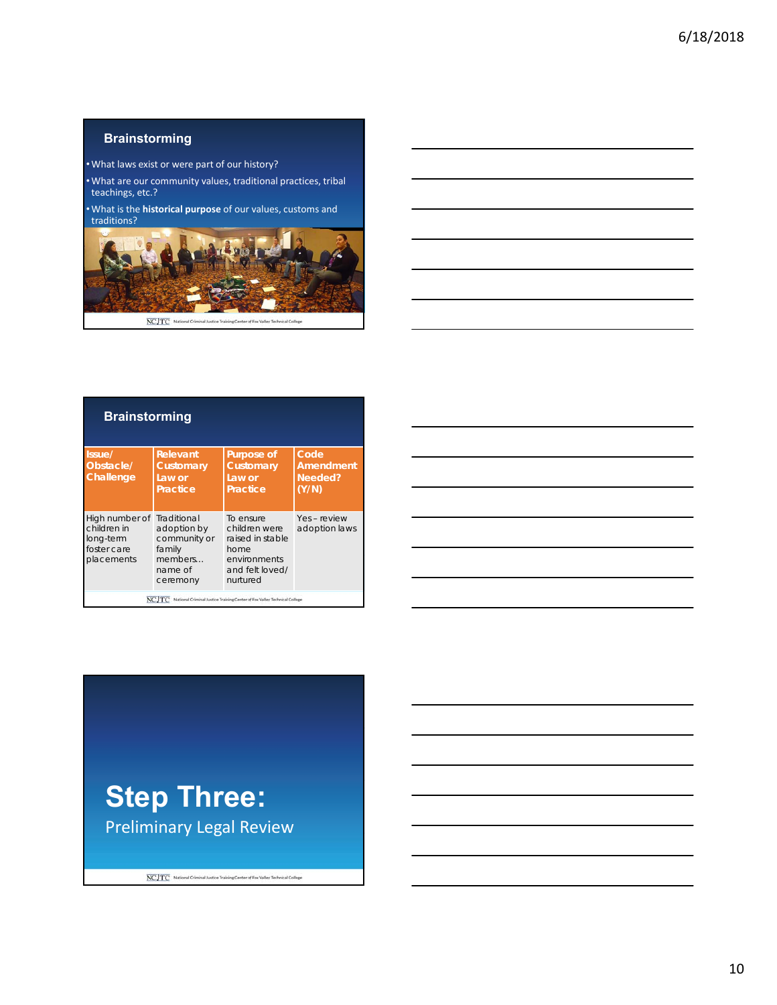### **Brainstorming**

•What laws exist or were part of our history?

•What are our community values, traditional practices, tribal teachings, etc.?

•What is the **historical purpose** of our values, customs and traditions?



| <b>Brainstorming</b> |           |            |  |  |
|----------------------|-----------|------------|--|--|
| Issue/               | Relevant  | Purpose of |  |  |
| Obstacle/            | Customary | Customary  |  |  |
| Challana             | 21810r    | $\sim$     |  |  |

| Challenge                                                                           | Law or<br><b>Practice</b>                                               | Law or<br>Practice                                                                                    | Needed?<br>(Y/N)              |
|-------------------------------------------------------------------------------------|-------------------------------------------------------------------------|-------------------------------------------------------------------------------------------------------|-------------------------------|
| High number of Traditional<br>children in<br>long-term<br>foster care<br>placements | adoption by<br>community or<br>family<br>members<br>name of<br>ceremony | To ensure<br>children were<br>raised in stable<br>home<br>environments<br>and felt loved/<br>nurtured | Yes - review<br>adoption laws |
|                                                                                     |                                                                         | National Criminal Justice Training Center of Fox Valley Technical College                             |                               |

**Code Amendment** 

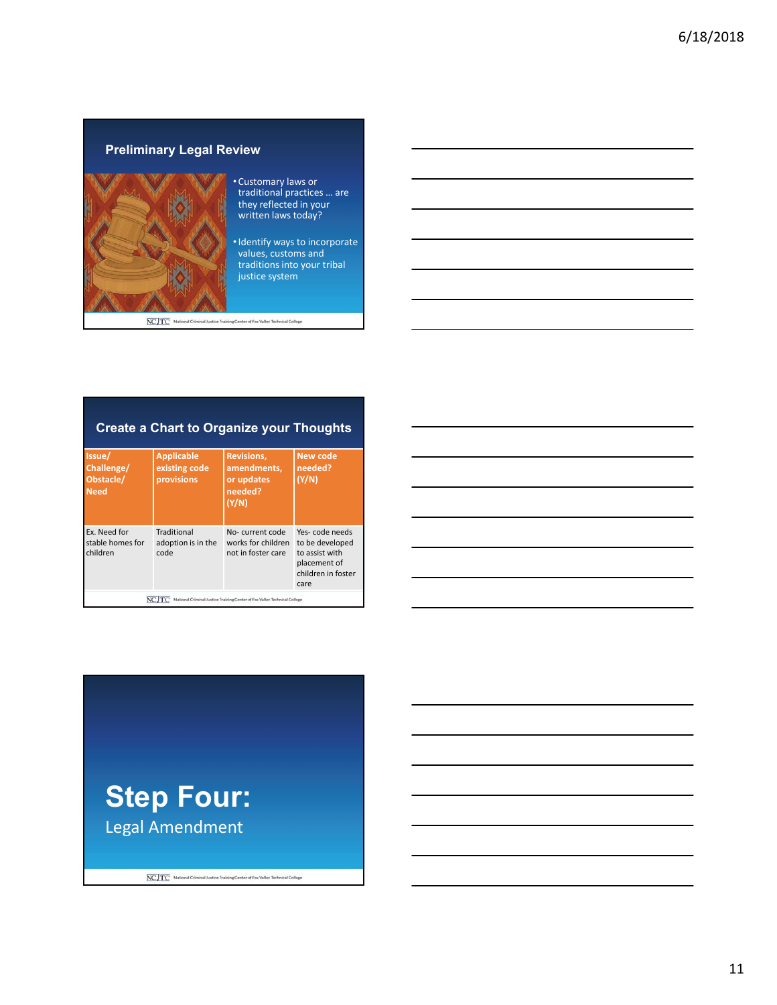## **Preliminary Legal Review**



#### • Customary laws or traditional practices … are they reflected in your written laws today?

•Identify ways to incorporate values, customs and traditions into your tribal justice system

NCJTC National Criminal Justice Training Center of Fox Valley Technical College

### **Create a Chart to Organize your Thoughts**

| Issue/<br>Challenge/<br>Obstacle/<br><b>Need</b>                                   | <b>Applicable</b><br>existing code<br>provisions | <b>Revisions,</b><br>amendments,<br>or updates<br>needed?<br>(Y/N) | New code<br>needed?<br>(Y/N)                                                                      |  |
|------------------------------------------------------------------------------------|--------------------------------------------------|--------------------------------------------------------------------|---------------------------------------------------------------------------------------------------|--|
| Ex. Need for<br>stable homes for<br>children                                       | Traditional<br>adoption is in the<br>code        | No-current code<br>works for children<br>not in foster care        | Yes-code needs<br>to be developed<br>to assist with<br>placement of<br>children in foster<br>care |  |
| National Criminal Justice Training Center of Fox Valley Technical College<br>NCJTC |                                                  |                                                                    |                                                                                                   |  |

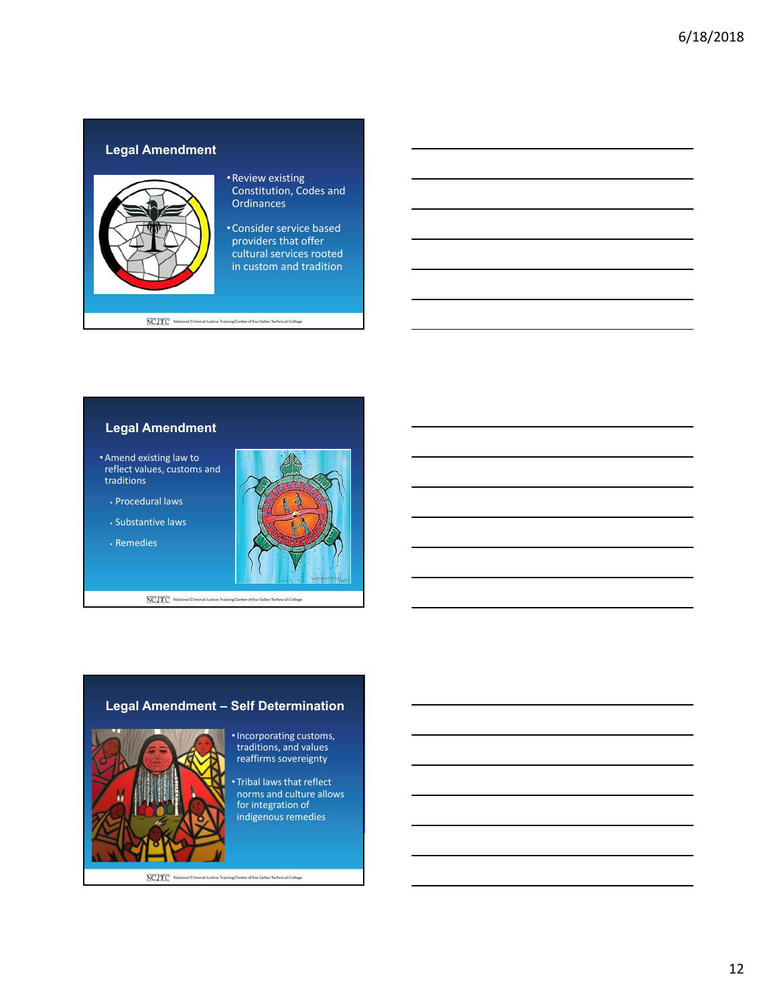### **Legal Amendment**



### •Review existing Constitution, Codes and **Ordinances**

•Consider service based providers that offer cultural services rooted in custom and tradition

NCJTC National Criminal Justice Training Center of Fox Valley Technical College

# **Legal Amendment**

- Amend existing law to reflect values, customs and traditions
	- Procedural laws
	- Substantive laws
	- Remedies



NCJTC National Criminal Justice Training Center of Fox Valley Technical College

## **Legal Amendment – Self Determination**



•Incorporating customs, traditions, and values reaffirms sovereignty

• Tribal laws that reflect norms and culture allows for integration of indigenous remedies

NCJTC National Criminal Autice Training Center of Fox Valley Technical College